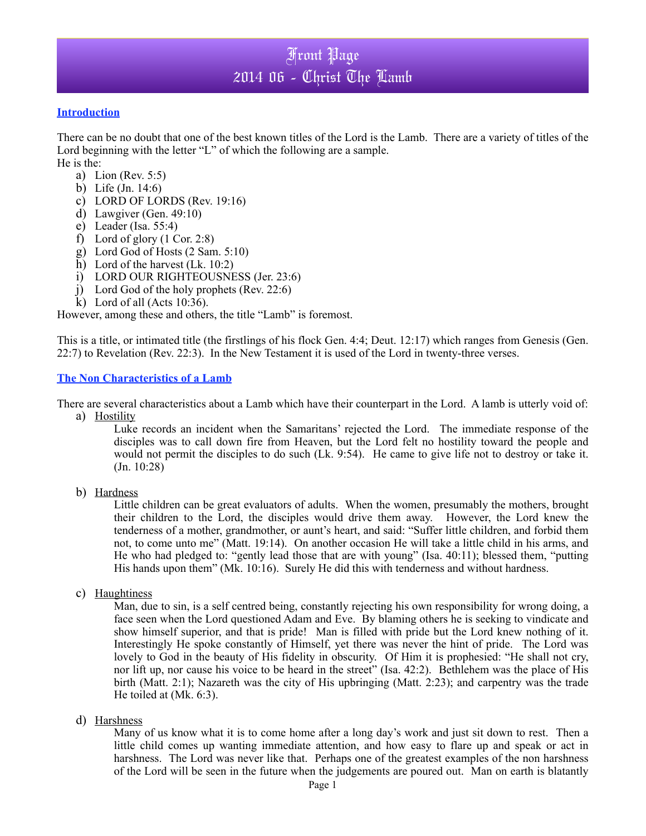#### **Introduction**

There can be no doubt that one of the best known titles of the Lord is the Lamb. There are a variety of titles of the Lord beginning with the letter "L" of which the following are a sample.

He is the:

- a) Lion (Rev. 5:5)
- b) Life (Jn. 14:6)
- c) LORD OF LORDS (Rev. 19:16)
- d) Lawgiver (Gen. 49:10)
- e) Leader (Isa. 55:4)
- f) Lord of glory  $(1 \text{ Cor. } 2:8)$
- g) Lord God of Hosts (2 Sam. 5:10)
- h) Lord of the harvest (Lk. 10:2)
- i) LORD OUR RIGHTEOUSNESS (Jer. 23:6)
- j) Lord God of the holy prophets (Rev. 22:6)
- k) Lord of all (Acts 10:36).

However, among these and others, the title "Lamb" is foremost.

This is a title, or intimated title (the firstlings of his flock Gen. 4:4; Deut. 12:17) which ranges from Genesis (Gen. 22:7) to Revelation (Rev. 22:3). In the New Testament it is used of the Lord in twenty-three verses.

#### **The Non Characteristics of a Lamb**

There are several characteristics about a Lamb which have their counterpart in the Lord. A lamb is utterly void of:

a) Hostility

Luke records an incident when the Samaritans' rejected the Lord. The immediate response of the disciples was to call down fire from Heaven, but the Lord felt no hostility toward the people and would not permit the disciples to do such (Lk. 9:54). He came to give life not to destroy or take it. (Jn. 10:28)

b) Hardness

Little children can be great evaluators of adults. When the women, presumably the mothers, brought their children to the Lord, the disciples would drive them away. However, the Lord knew the tenderness of a mother, grandmother, or aunt's heart, and said: "Suffer little children, and forbid them not, to come unto me" (Matt. 19:14). On another occasion He will take a little child in his arms, and He who had pledged to: "gently lead those that are with young" (Isa. 40:11); blessed them, "putting His hands upon them" (Mk. 10:16). Surely He did this with tenderness and without hardness.

c) Haughtiness

Man, due to sin, is a self centred being, constantly rejecting his own responsibility for wrong doing, a face seen when the Lord questioned Adam and Eve. By blaming others he is seeking to vindicate and show himself superior, and that is pride! Man is filled with pride but the Lord knew nothing of it. Interestingly He spoke constantly of Himself, yet there was never the hint of pride. The Lord was lovely to God in the beauty of His fidelity in obscurity. Of Him it is prophesied: "He shall not cry, nor lift up, nor cause his voice to be heard in the street" (Isa. 42:2). Bethlehem was the place of His birth (Matt. 2:1); Nazareth was the city of His upbringing (Matt. 2:23); and carpentry was the trade He toiled at (Mk. 6:3).

#### d) Harshness

Many of us know what it is to come home after a long day's work and just sit down to rest. Then a little child comes up wanting immediate attention, and how easy to flare up and speak or act in harshness. The Lord was never like that. Perhaps one of the greatest examples of the non harshness of the Lord will be seen in the future when the judgements are poured out. Man on earth is blatantly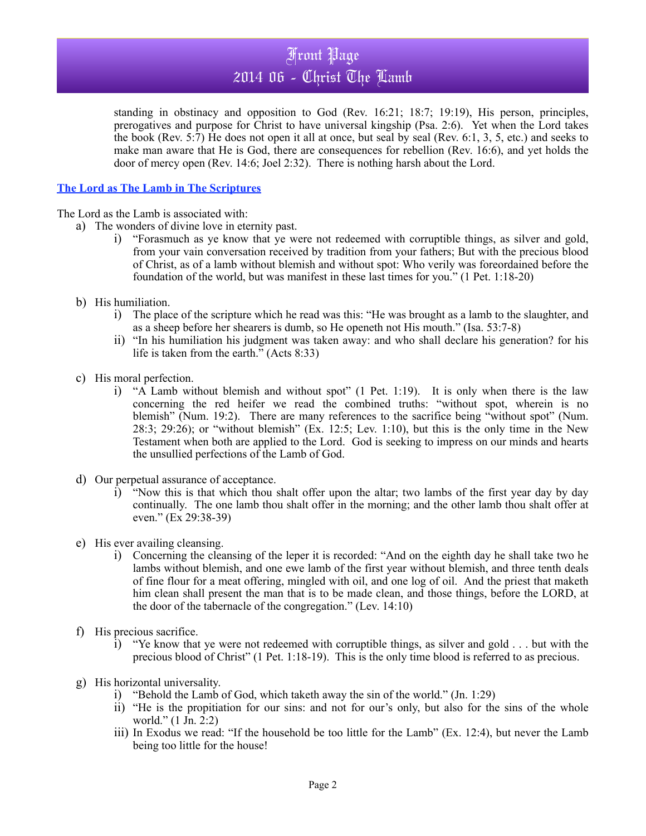standing in obstinacy and opposition to God (Rev. 16:21; 18:7; 19:19), His person, principles, prerogatives and purpose for Christ to have universal kingship (Psa. 2:6). Yet when the Lord takes the book (Rev. 5:7) He does not open it all at once, but seal by seal (Rev. 6:1, 3, 5, etc.) and seeks to make man aware that He is God, there are consequences for rebellion (Rev. 16:6), and yet holds the door of mercy open (Rev. 14:6; Joel 2:32). There is nothing harsh about the Lord.

### **The Lord as The Lamb in The Scriptures**

The Lord as the Lamb is associated with:

- a) The wonders of divine love in eternity past.
	- i) "Forasmuch as ye know that ye were not redeemed with corruptible things, as silver and gold, from your vain conversation received by tradition from your fathers; But with the precious blood of Christ, as of a lamb without blemish and without spot: Who verily was foreordained before the foundation of the world, but was manifest in these last times for you." (1 Pet. 1:18-20)
- b) His humiliation.
	- i) The place of the scripture which he read was this: "He was brought as a lamb to the slaughter, and as a sheep before her shearers is dumb, so He openeth not His mouth." (Isa. 53:7-8)
	- ii) "In his humiliation his judgment was taken away: and who shall declare his generation? for his life is taken from the earth." (Acts 8:33)
- c) His moral perfection.
	- i) "A Lamb without blemish and without spot" (1 Pet. 1:19). It is only when there is the law concerning the red heifer we read the combined truths: "without spot, wherein is no blemish" (Num. 19:2). There are many references to the sacrifice being "without spot" (Num. 28:3; 29:26); or "without blemish" (Ex. 12:5; Lev. 1:10), but this is the only time in the New Testament when both are applied to the Lord. God is seeking to impress on our minds and hearts the unsullied perfections of the Lamb of God.
- d) Our perpetual assurance of acceptance.
	- i) "Now this is that which thou shalt offer upon the altar; two lambs of the first year day by day continually. The one lamb thou shalt offer in the morning; and the other lamb thou shalt offer at even." (Ex 29:38-39)
- e) His ever availing cleansing.
	- i) Concerning the cleansing of the leper it is recorded: "And on the eighth day he shall take two he lambs without blemish, and one ewe lamb of the first year without blemish, and three tenth deals of fine flour for a meat offering, mingled with oil, and one log of oil. And the priest that maketh him clean shall present the man that is to be made clean, and those things, before the LORD, at the door of the tabernacle of the congregation." (Lev. 14:10)
- f) His precious sacrifice.
	- i) "Ye know that ye were not redeemed with corruptible things, as silver and gold . . . but with the precious blood of Christ" (1 Pet. 1:18-19). This is the only time blood is referred to as precious.
- g) His horizontal universality.
	- i) "Behold the Lamb of God, which taketh away the sin of the world." (Jn. 1:29)
	- ii) "He is the propitiation for our sins: and not for our's only, but also for the sins of the whole world." (1 Jn. 2:2)
	- iii) In Exodus we read: "If the household be too little for the Lamb" (Ex. 12:4), but never the Lamb being too little for the house!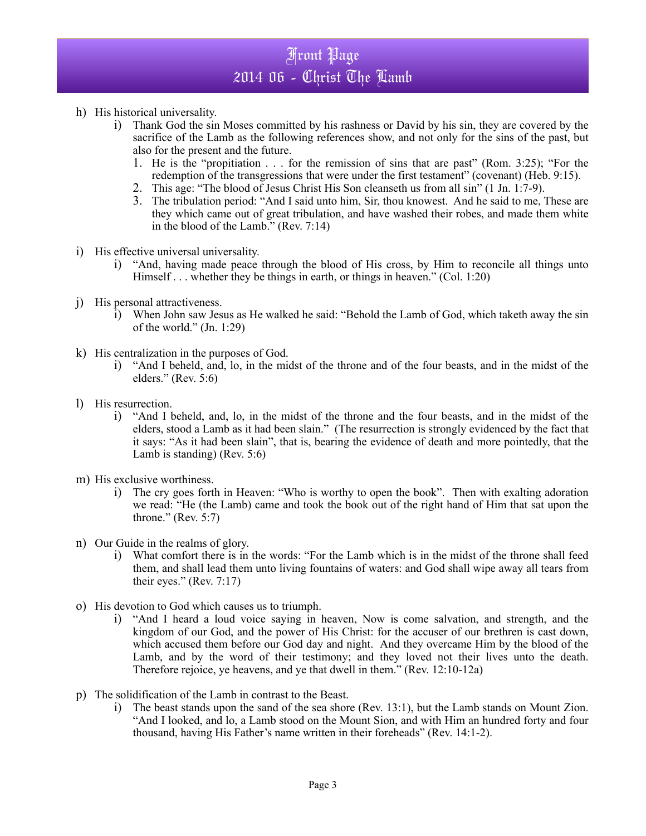- h) His historical universality.
	- i) Thank God the sin Moses committed by his rashness or David by his sin, they are covered by the sacrifice of the Lamb as the following references show, and not only for the sins of the past, but also for the present and the future.
		- 1. He is the "propitiation . . . for the remission of sins that are past" (Rom. 3:25); "For the redemption of the transgressions that were under the first testament" (covenant) (Heb. 9:15).
		- 2. This age: "The blood of Jesus Christ His Son cleanseth us from all sin" (1 Jn. 1:7-9).
		- 3. The tribulation period: "And I said unto him, Sir, thou knowest. And he said to me, These are they which came out of great tribulation, and have washed their robes, and made them white in the blood of the Lamb." (Rev. 7:14)
- i) His effective universal universality.
	- i) "And, having made peace through the blood of His cross, by Him to reconcile all things unto Himself . . . whether they be things in earth, or things in heaven." (Col. 1:20)
- j) His personal attractiveness.
	- i) When John saw Jesus as He walked he said: "Behold the Lamb of God, which taketh away the sin of the world." (Jn. 1:29)
- k) His centralization in the purposes of God.
	- i) "And I beheld, and, lo, in the midst of the throne and of the four beasts, and in the midst of the elders." (Rev. 5:6)
- l) His resurrection.
	- i) "And I beheld, and, lo, in the midst of the throne and the four beasts, and in the midst of the elders, stood a Lamb as it had been slain." (The resurrection is strongly evidenced by the fact that it says: "As it had been slain", that is, bearing the evidence of death and more pointedly, that the Lamb is standing) (Rev. 5:6)
- m) His exclusive worthiness.
	- i) The cry goes forth in Heaven: "Who is worthy to open the book". Then with exalting adoration we read: "He (the Lamb) came and took the book out of the right hand of Him that sat upon the throne." (Rev. 5:7)
- n) Our Guide in the realms of glory.
	- i) What comfort there is in the words: "For the Lamb which is in the midst of the throne shall feed them, and shall lead them unto living fountains of waters: and God shall wipe away all tears from their eyes." (Rev. 7:17)
- o) His devotion to God which causes us to triumph.
	- i) "And I heard a loud voice saying in heaven, Now is come salvation, and strength, and the kingdom of our God, and the power of His Christ: for the accuser of our brethren is cast down, which accused them before our God day and night. And they overcame Him by the blood of the Lamb, and by the word of their testimony; and they loved not their lives unto the death. Therefore rejoice, ye heavens, and ye that dwell in them." (Rev. 12:10-12a)
- p) The solidification of the Lamb in contrast to the Beast.
	- i) The beast stands upon the sand of the sea shore (Rev. 13:1), but the Lamb stands on Mount Zion. "And I looked, and lo, a Lamb stood on the Mount Sion, and with Him an hundred forty and four thousand, having His Father's name written in their foreheads" (Rev. 14:1-2).